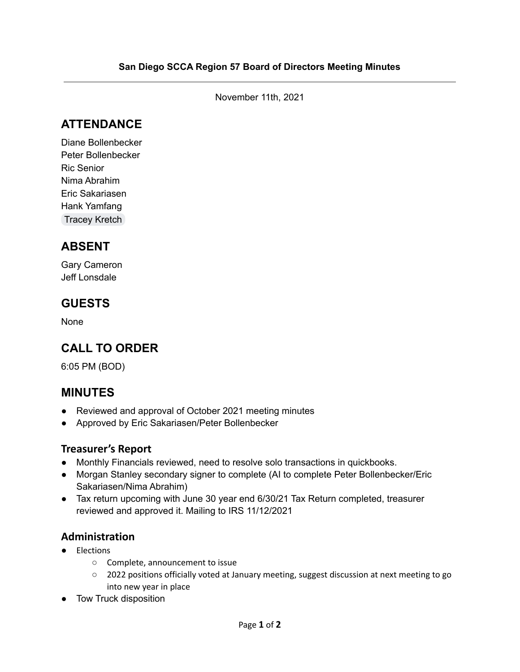November 11th, 2021

# **ATTENDANCE**

Diane Bollenbecker Peter Bollenbecker Ric Senior Nima Abrahim Eric Sakariasen Hank Yamfang [Tracey](mailto:tckretch@yahoo.com) Kretch

# **ABSENT**

Gary Cameron Jeff Lonsdale

## **GUESTS**

None

# **CALL TO ORDER**

6:05 PM (BOD)

# **MINUTES**

- Reviewed and approval of October 2021 meeting minutes
- Approved by Eric Sakariasen/Peter Bollenbecker

### **Treasurer's Report**

- Monthly Financials reviewed, need to resolve solo transactions in quickbooks.
- Morgan Stanley secondary signer to complete (AI to complete Peter Bollenbecker/Eric Sakariasen/Nima Abrahim)
- Tax return upcoming with June 30 year end 6/30/21 Tax Return completed, treasurer reviewed and approved it. Mailing to IRS 11/12/2021

### **Administration**

- Elections
	- Complete, announcement to issue
	- 2022 positions officially voted at January meeting, suggest discussion at next meeting to go into new year in place
- Tow Truck disposition